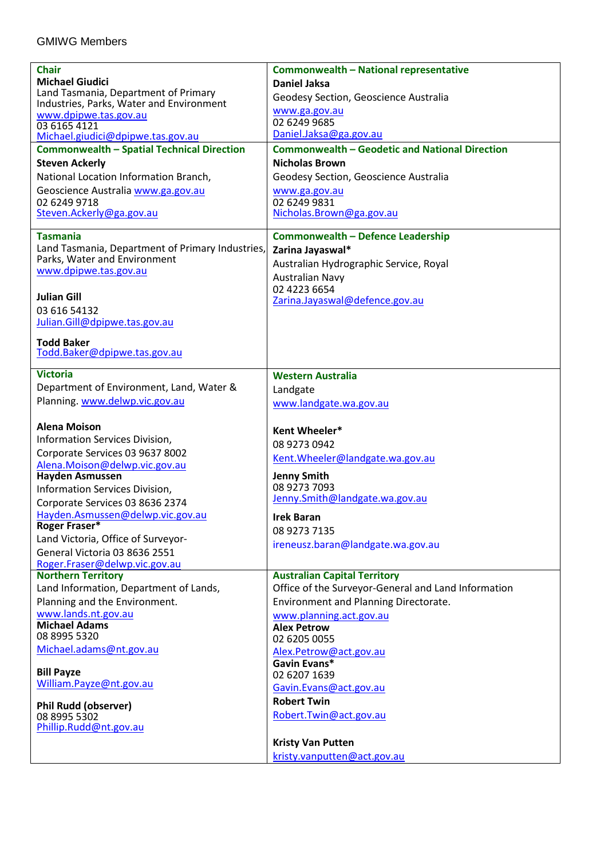| <b>Chair</b>                                                   | Commonwealth - National representative                  |
|----------------------------------------------------------------|---------------------------------------------------------|
| <b>Michael Giudici</b>                                         | <b>Daniel Jaksa</b>                                     |
| Land Tasmania, Department of Primary                           | Geodesy Section, Geoscience Australia                   |
| Industries, Parks, Water and Environment                       | www.ga.gov.au                                           |
| www.dpipwe.tas.gov.au                                          | 02 6249 9685                                            |
| 03 6165 4121<br>Michael.giudici@dpipwe.tas.gov.au              | Daniel.Jaksa@ga.gov.au                                  |
| <b>Commonwealth - Spatial Technical Direction</b>              | <b>Commonwealth - Geodetic and National Direction</b>   |
| <b>Steven Ackerly</b>                                          | <b>Nicholas Brown</b>                                   |
| National Location Information Branch,                          | Geodesy Section, Geoscience Australia                   |
| Geoscience Australia www.ga.gov.au                             | www.ga.gov.au                                           |
| 02 6249 9718                                                   | 02 6249 9831                                            |
| Steven.Ackerly@ga.gov.au                                       | Nicholas.Brown@ga.gov.au                                |
|                                                                |                                                         |
| <b>Tasmania</b>                                                | Commonwealth - Defence Leadership                       |
| Land Tasmania, Department of Primary Industries,               | Zarina Jayaswal*                                        |
| Parks, Water and Environment<br>www.dpipwe.tas.gov.au          | Australian Hydrographic Service, Royal                  |
|                                                                | <b>Australian Navy</b>                                  |
| <b>Julian Gill</b>                                             | 02 4223 6654                                            |
| 03 616 54132                                                   | Zarina.Jayaswal@defence.gov.au                          |
| Julian.Gill@dpipwe.tas.gov.au                                  |                                                         |
|                                                                |                                                         |
| <b>Todd Baker</b>                                              |                                                         |
| Todd.Baker@dpipwe.tas.gov.au                                   |                                                         |
| <b>Victoria</b>                                                | <b>Western Australia</b>                                |
| Department of Environment, Land, Water &                       | Landgate                                                |
| Planning. www.delwp.vic.gov.au                                 | www.landgate.wa.gov.au                                  |
|                                                                |                                                         |
| <b>Alena Moison</b>                                            | Kent Wheeler*                                           |
| Information Services Division,                                 | 08 9273 0942                                            |
| Corporate Services 03 9637 8002                                | Kent. Wheeler@landgate.wa.gov.au                        |
| Alena.Moison@delwp.vic.gov.au                                  |                                                         |
| <b>Hayden Asmussen</b>                                         | <b>Jenny Smith</b>                                      |
| Information Services Division,                                 | 08 9273 7093                                            |
| Corporate Services 03 8636 2374                                | Jenny.Smith@landgate.wa.gov.au                          |
| Hayden.Asmussen@delwn.vic.gov.au                               | <b>Irek Baran</b>                                       |
| Roger Fraser*                                                  | 08 9273 7135                                            |
| Land Victoria, Office of Surveyor-                             | ireneusz.baran@landgate.wa.gov.au                       |
| General Victoria 03 8636 2551<br>Roger.Fraser@delwp.vic.gov.au |                                                         |
| <b>Northern Territory</b>                                      | <b>Australian Capital Territory</b>                     |
| Land Information, Department of Lands,                         | Office of the Surveyor-General and Land Information     |
| Planning and the Environment.                                  | Environment and Planning Directorate.                   |
| www.lands.nt.gov.au                                            | www.planning.act.gov.au                                 |
| <b>Michael Adams</b>                                           | <b>Alex Petrow</b>                                      |
| 08 8995 5320                                                   | 02 6205 0055                                            |
| Michael.adams@nt.gov.au                                        | Alex.Petrow@act.gov.au                                  |
|                                                                | Gavin Evans*                                            |
| <b>Bill Payze</b><br>William.Payze@nt.gov.au                   | 02 6207 1639                                            |
|                                                                | Gavin.Evans@act.gov.au                                  |
| <b>Phil Rudd (observer)</b>                                    | <b>Robert Twin</b>                                      |
|                                                                |                                                         |
| 08 8995 5302                                                   | Robert.Twin@act.gov.au                                  |
| Phillip.Rudd@nt.gov.au                                         |                                                         |
|                                                                | <b>Kristy Van Putten</b><br>kristy.vanputten@act.gov.au |